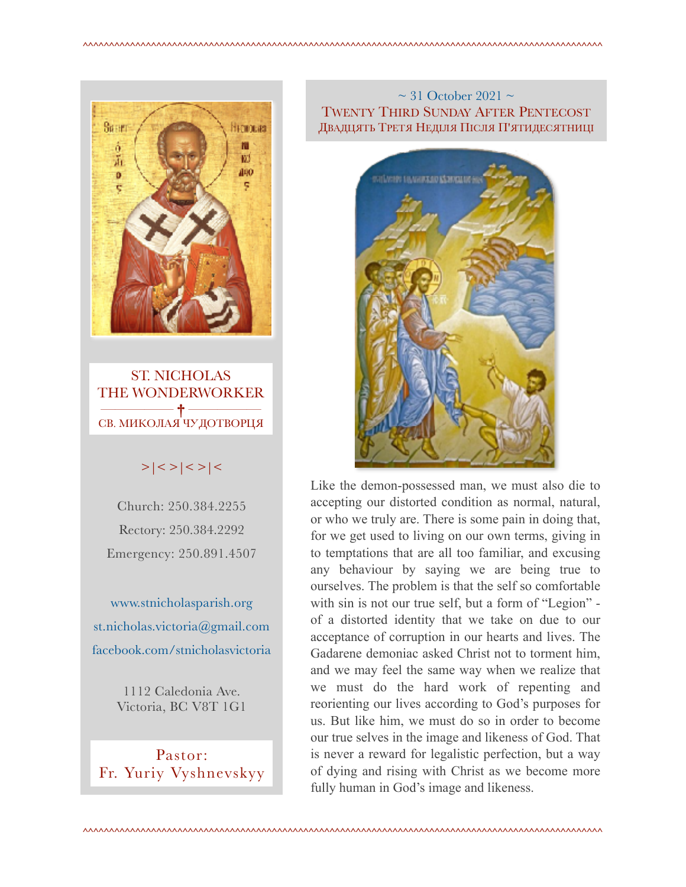

ST. NICHOLAS THE WONDERWORKER ————— **†** ————— СВ. МИКОЛАЯ ЧУДОТВОРЦЯ

# $>|$  < >  $|$  <  $>$   $|$  <  $>$   $|$  <  $>$   $|$  <

Church: 250.384.2255 Rectory: 250.384.2292 Emergency: 250.891.4507

[www.stnicholasparish.org](http://www.stnicholasparish.org)  [st.nicholas.victoria@gmail.com](mailto:st.nicholas.victoria@gmail.com)  [facebook.com/stnicholasvictoria](http://facebook.com/stnicholasvictoria)

> 1112 Caledonia Ave. Victoria, BC V8T 1G1

Pastor: Fr. Yuriy Vyshnevskyy

### $\sim$  31 October 2021  $\sim$ TWENTY THIRD SUNDAY AFTER PENTECOST ДВАДЦЯТЬ ТРЕТЯ НЕДІЛЯ ПІСЛЯ П'ЯТИДЕСЯТНИЦІ



Like the demon-possessed man, we must also die to accepting our distorted condition as normal, natural, or who we truly are. There is some pain in doing that, for we get used to living on our own terms, giving in to temptations that are all too familiar, and excusing any behaviour by saying we are being true to ourselves. The problem is that the self so comfortable with sin is not our true self, but a form of "Legion" of a distorted identity that we take on due to our acceptance of corruption in our hearts and lives. The Gadarene demoniac asked Christ not to torment him, and we may feel the same way when we realize that we must do the hard work of repenting and reorienting our lives according to God's purposes for us. But like him, we must do so in order to become our true selves in the image and likeness of God. That is never a reward for legalistic perfection, but a way of dying and rising with Christ as we become more fully human in God's image and likeness.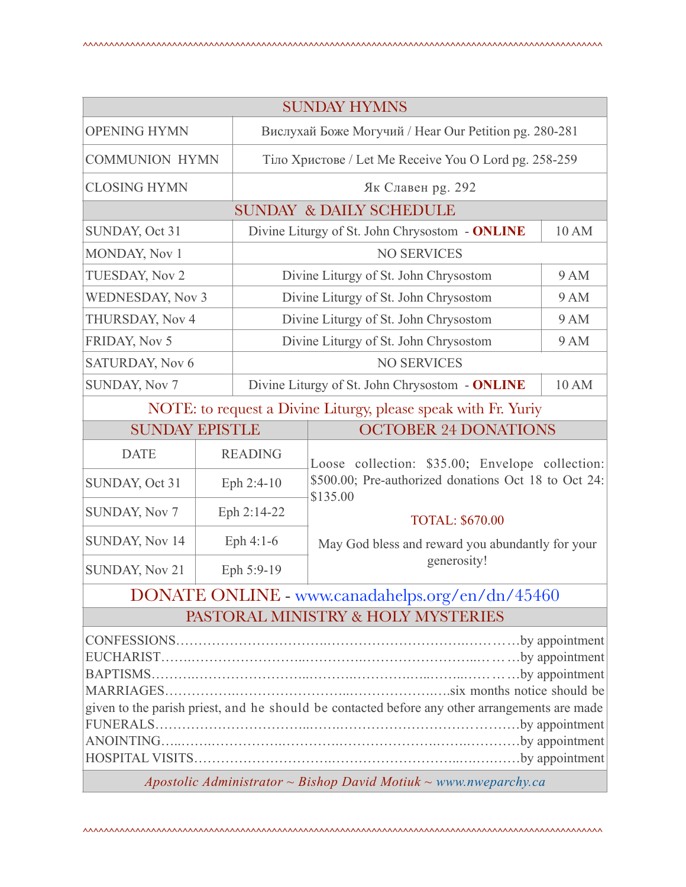| <b>SUNDAY HYMNS</b>                                                                           |  |                                                         |                                                                                                                                               |  |
|-----------------------------------------------------------------------------------------------|--|---------------------------------------------------------|-----------------------------------------------------------------------------------------------------------------------------------------------|--|
| <b>OPENING HYMN</b>                                                                           |  | Вислухай Боже Могучий / Hear Our Petition pg. 280-281   |                                                                                                                                               |  |
| <b>COMMUNION HYMN</b>                                                                         |  | Тіло Христове / Let Me Receive You O Lord pg. 258-259   |                                                                                                                                               |  |
| <b>CLOSING HYMN</b>                                                                           |  | Як Славен рg. 292                                       |                                                                                                                                               |  |
| <b>SUNDAY &amp; DAILY SCHEDULE</b>                                                            |  |                                                         |                                                                                                                                               |  |
| SUNDAY, Oct 31                                                                                |  | Divine Liturgy of St. John Chrysostom - ONLINE<br>10 AM |                                                                                                                                               |  |
| MONDAY, Nov 1                                                                                 |  | <b>NO SERVICES</b>                                      |                                                                                                                                               |  |
| <b>TUESDAY, Nov 2</b>                                                                         |  | Divine Liturgy of St. John Chrysostom<br><b>9 AM</b>    |                                                                                                                                               |  |
| <b>WEDNESDAY, Nov 3</b>                                                                       |  | <b>9 AM</b><br>Divine Liturgy of St. John Chrysostom    |                                                                                                                                               |  |
| THURSDAY, Nov 4                                                                               |  | <b>9 AM</b><br>Divine Liturgy of St. John Chrysostom    |                                                                                                                                               |  |
| FRIDAY, Nov 5                                                                                 |  | <b>9 AM</b><br>Divine Liturgy of St. John Chrysostom    |                                                                                                                                               |  |
| <b>SATURDAY, Nov 6</b>                                                                        |  | <b>NO SERVICES</b>                                      |                                                                                                                                               |  |
| <b>SUNDAY, Nov 7</b>                                                                          |  | 10 AM<br>Divine Liturgy of St. John Chrysostom - ONLINE |                                                                                                                                               |  |
| NOTE: to request a Divine Liturgy, please speak with Fr. Yuriy                                |  |                                                         |                                                                                                                                               |  |
| <b>SUNDAY EPISTLE</b>                                                                         |  | <b>OCTOBER 24 DONATIONS</b>                             |                                                                                                                                               |  |
| <b>DATE</b>                                                                                   |  | <b>READING</b>                                          | Loose collection: \$35.00; Envelope collection:<br>\$500.00; Pre-authorized donations Oct 18 to Oct 24:<br>\$135.00<br><b>TOTAL: \$670.00</b> |  |
| SUNDAY, Oct 31                                                                                |  | Eph 2:4-10                                              |                                                                                                                                               |  |
| <b>SUNDAY, Nov 7</b>                                                                          |  | Eph 2:14-22                                             |                                                                                                                                               |  |
| SUNDAY, Nov 14                                                                                |  | Eph $4:1-6$                                             | May God bless and reward you abundantly for your                                                                                              |  |
| <b>SUNDAY, Nov 21</b>                                                                         |  | generosity!<br>Eph 5:9-19                               |                                                                                                                                               |  |
| DONATE ONLINE - www.canadahelps.org/en/dn/45460                                               |  |                                                         |                                                                                                                                               |  |
| PASTORAL MINISTRY & HOLY MYSTERIES                                                            |  |                                                         |                                                                                                                                               |  |
|                                                                                               |  |                                                         |                                                                                                                                               |  |
|                                                                                               |  |                                                         |                                                                                                                                               |  |
| given to the parish priest, and he should be contacted before any other arrangements are made |  |                                                         |                                                                                                                                               |  |
|                                                                                               |  |                                                         |                                                                                                                                               |  |
|                                                                                               |  |                                                         |                                                                                                                                               |  |

*Apostolic Administrator ~ Bishop David Motiuk ~ [www.nweparchy.ca](http://www.nweparchy.ca)*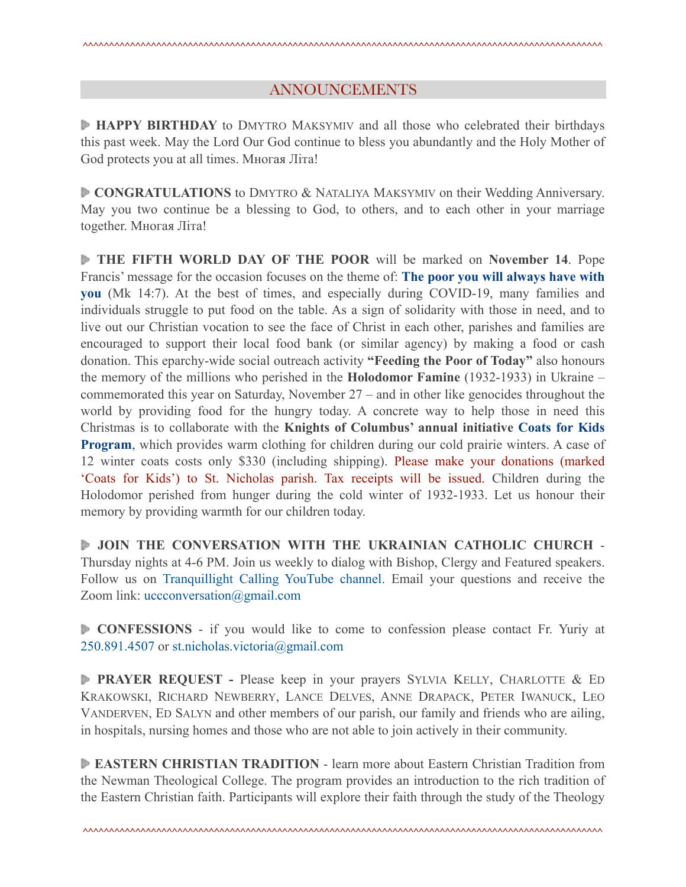### ANNOUNCEMENTS

**HAPPY BIRTHDAY** to DMYTRO MAKSYMIV and all those who celebrated their birthdays this past week. May the Lord Our God continue to bless you abundantly and the Holy Mother of God protects you at all times. Многая Літа!

**CONGRATULATIONS** to DMYTRO & NATALIYA MAKSYMIV on their Wedding Anniversary. May you two continue be a blessing to God, to others, and to each other in your marriage together. Многая Літа!

**THE FIFTH WORLD DAY OF THE POOR** will be marked on **November 14**. Pope Francis' message for the occasion focuses on the theme of: **[The poor you will always have with](https://www.vatican.va/content/francesco/en/messages/poveri/documents/20210613-messaggio-v-giornatamondiale-poveri-2021.html) [you](https://www.vatican.va/content/francesco/en/messages/poveri/documents/20210613-messaggio-v-giornatamondiale-poveri-2021.html)** (Mk 14:7). At the best of times, and especially during COVID-19, many families and individuals struggle to put food on the table. As a sign of solidarity with those in need, and to live out our Christian vocation to see the face of Christ in each other, parishes and families are encouraged to support their local food bank (or similar agency) by making a food or cash donation. This eparchy-wide social outreach activity **"Feeding the Poor of Today"** also honours the memory of the millions who perished in the **Holodomor Famine** (1932-1933) in Ukraine – commemorated this year on Saturday, November 27 – and in other like genocides throughout the world by providing food for the hungry today. A concrete way to help those in need this Christmas is to collaborate with the **Knights of Columbus' annual initiative [Coats for Kids](https://www.kofc.org/en/what-we-do/faith-in-action-programs/community/coats-for-kids.html) [Program](https://www.kofc.org/en/what-we-do/faith-in-action-programs/community/coats-for-kids.html)**, which provides warm clothing for children during our cold prairie winters. A case of 12 winter coats costs only \$330 (including shipping). Please make your donations (marked 'Coats for Kids') to St. Nicholas parish. Tax receipts will be issued. Children during the Holodomor perished from hunger during the cold winter of 1932-1933. Let us honour their memory by providing warmth for our children today.

 **JOIN THE CONVERSATION WITH THE UKRAINIAN CATHOLIC CHURCH** - Thursday nights at 4-6 PM. Join us weekly to dialog with Bishop, Clergy and Featured speakers. Follow us on Tranquillight Calling YouTube channel. Email your questions and receive the Zoom link: uccconversation@gmail.com

**CONFESSIONS** - if you would like to come to confession please contact Fr. Yuriy at 250.891.4507 or [st.nicholas.victoria@gmail.com](mailto:st.nicholas.victoria@gmail.com)

**PRAYER REQUEST -** Please keep in your prayers SYLVIA KELLY, CHARLOTTE & ED KRAKOWSKI, RICHARD NEWBERRY, LANCE DELVES, ANNE DRAPACK, PETER IWANUCK, LEO VANDERVEN, ED SALYN and other members of our parish, our family and friends who are ailing, in hospitals, nursing homes and those who are not able to join actively in their community.

**EASTERN CHRISTIAN TRADITION** - learn more about Eastern Christian Tradition from the Newman Theological College. The program provides an introduction to the rich tradition of the Eastern Christian faith. Participants will explore their faith through the study of the Theology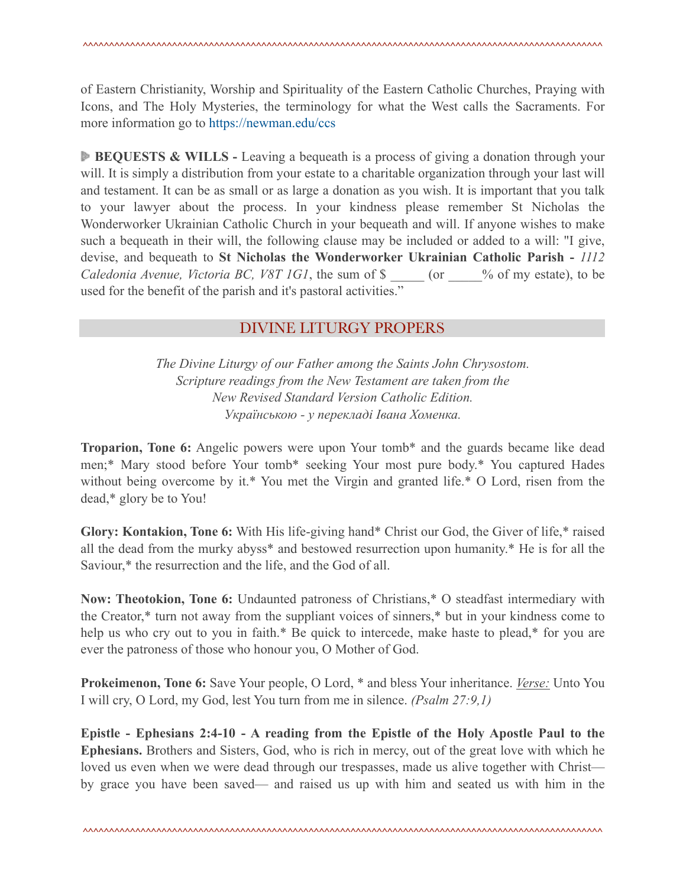of Eastern Christianity, Worship and Spirituality of the Eastern Catholic Churches, Praying with Icons, and The Holy Mysteries, the terminology for what the West calls the Sacraments. For more information go to <https://newman.edu/ccs>

**BEQUESTS & WILLS -** Leaving a bequeath is a process of giving a donation through your will. It is simply a distribution from your estate to a charitable organization through your last will and testament. It can be as small or as large a donation as you wish. It is important that you talk to your lawyer about the process. In your kindness please remember St Nicholas the Wonderworker Ukrainian Catholic Church in your bequeath and will. If anyone wishes to make such a bequeath in their will, the following clause may be included or added to a will: "I give, devise, and bequeath to **St Nicholas the Wonderworker Ukrainian Catholic Parish -** *1112 Caledonia Avenue, Victoria BC, V8T 1G1*, the sum of \$ \_\_\_ (or \_\_\_\_% of my estate), to be used for the benefit of the parish and it's pastoral activities."

# DIVINE LITURGY PROPERS

*The Divine Liturgy of our Father among the Saints John Chrysostom. Scripture readings from the New Testament are taken from the New Revised Standard Version Catholic Edition. Українською - у перекладі Івана Хоменка.* 

**Troparion, Tone 6:** Angelic powers were upon Your tomb\* and the guards became like dead men;\* Mary stood before Your tomb\* seeking Your most pure body.\* You captured Hades without being overcome by it.\* You met the Virgin and granted life.\* O Lord, risen from the dead,\* glory be to You!

**Glory: Kontakion, Tone 6:** With His life-giving hand\* Christ our God, the Giver of life,\* raised all the dead from the murky abyss\* and bestowed resurrection upon humanity.\* He is for all the Saviour,\* the resurrection and the life, and the God of all.

**Now: Theotokion, Tone 6:** Undaunted patroness of Christians,\* O steadfast intermediary with the Creator,\* turn not away from the suppliant voices of sinners,\* but in your kindness come to help us who cry out to you in faith.\* Be quick to intercede, make haste to plead,\* for you are ever the patroness of those who honour you, O Mother of God.

**Prokeimenon, Tone 6:** Save Your people, O Lord, \* and bless Your inheritance. *Verse:* Unto You I will cry, O Lord, my God, lest You turn from me in silence. *(Psalm 27:9,1)*

**Epistle - Ephesians 2:4-10 - A reading from the Epistle of the Holy Apostle Paul to the Ephesians.** Brothers and Sisters, God, who is rich in mercy, out of the great love with which he loved us even when we were dead through our trespasses, made us alive together with Christ by grace you have been saved— and raised us up with him and seated us with him in the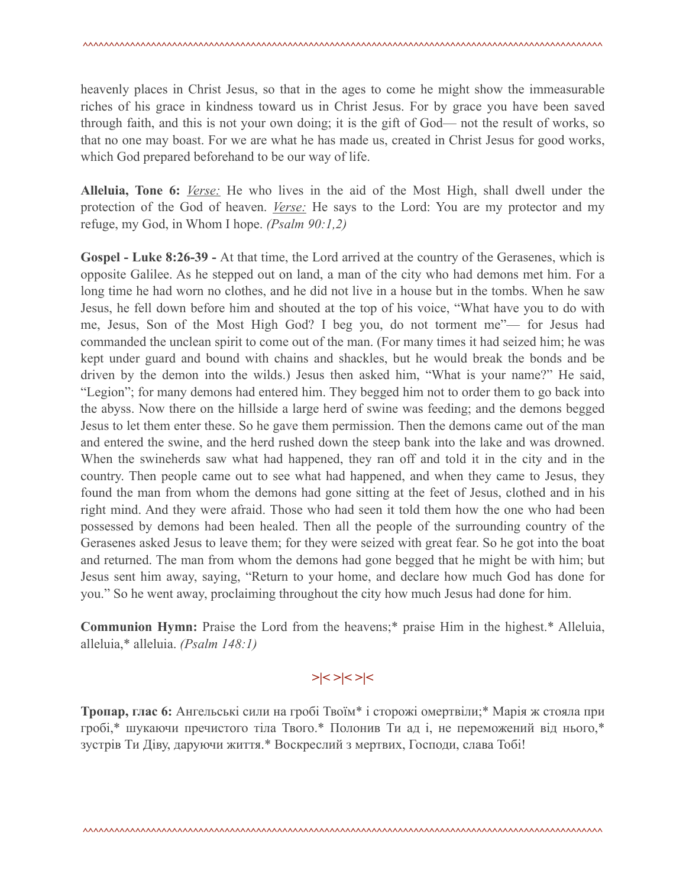heavenly places in Christ Jesus, so that in the ages to come he might show the immeasurable riches of his grace in kindness toward us in Christ Jesus. For by grace you have been saved through faith, and this is not your own doing; it is the gift of God— not the result of works, so that no one may boast. For we are what he has made us, created in Christ Jesus for good works, which God prepared beforehand to be our way of life.

**Alleluia, Tone 6:** *Verse:* He who lives in the aid of the Most High, shall dwell under the protection of the God of heaven. *Verse:* He says to the Lord: You are my protector and my refuge, my God, in Whom I hope. *(Psalm 90:1,2)*

**Gospel - Luke 8:26-39 -** At that time, the Lord arrived at the country of the Gerasenes, which is opposite Galilee. As he stepped out on land, a man of the city who had demons met him. For a long time he had worn no clothes, and he did not live in a house but in the tombs. When he saw Jesus, he fell down before him and shouted at the top of his voice, "What have you to do with me, Jesus, Son of the Most High God? I beg you, do not torment me"— for Jesus had commanded the unclean spirit to come out of the man. (For many times it had seized him; he was kept under guard and bound with chains and shackles, but he would break the bonds and be driven by the demon into the wilds.) Jesus then asked him, "What is your name?" He said, "Legion"; for many demons had entered him. They begged him not to order them to go back into the abyss. Now there on the hillside a large herd of swine was feeding; and the demons begged Jesus to let them enter these. So he gave them permission. Then the demons came out of the man and entered the swine, and the herd rushed down the steep bank into the lake and was drowned. When the swineherds saw what had happened, they ran off and told it in the city and in the country. Then people came out to see what had happened, and when they came to Jesus, they found the man from whom the demons had gone sitting at the feet of Jesus, clothed and in his right mind. And they were afraid. Those who had seen it told them how the one who had been possessed by demons had been healed. Then all the people of the surrounding country of the Gerasenes asked Jesus to leave them; for they were seized with great fear. So he got into the boat and returned. The man from whom the demons had gone begged that he might be with him; but Jesus sent him away, saying, "Return to your home, and declare how much God has done for you." So he went away, proclaiming throughout the city how much Jesus had done for him.

**Communion Hymn:** Praise the Lord from the heavens;\* praise Him in the highest.\* Alleluia, alleluia,\* alleluia. *(Psalm 148:1)*

# **>|< >|< >|<**

**Тропар, глас 6:** Ангельські сили на гробі Твоїм\* і сторожі омертвіли;\* Марія ж стояла при гробі,\* шукаючи пречистого тіла Твого.\* Полонив Ти ад і, не переможений від нього,\* зустрів Ти Діву, даруючи життя.\* Воскреслий з мертвих, Господи, слава Тобі!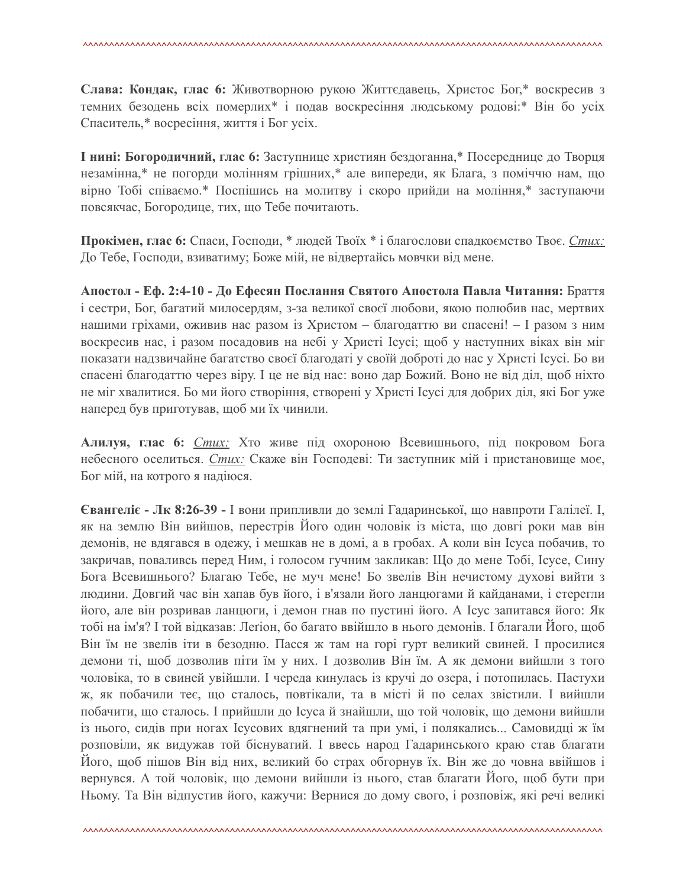**Слава: Кондак, глас 6:** Животворною рукою Життєдавець, Христос Бог,\* воскресив з темних безодень всіх померлих\* і подав воскресіння людському родові:\* Він бо усіх Спаситель,\* восресіння, життя і Бог усіх.

**І нині: Богородичний, глас 6:** Заступнице християн бездоганна,\* Посереднице до Творця незамінна,\* не погорди молінням грішних,\* але випереди, як Блага, з поміччю нам, що вірно Тобі співаємо.\* Поспішись на молитву і скоро прийди на моління,\* заступаючи повсякчас, Богородице, тих, що Тебе почитають.

**Прокімен, глас 6:** Спаси, Господи, \* людей Твоїх \* і благослови спадкоємство Твоє. *Стих:* До Тебе, Господи, взиватиму; Боже мій, не відвертайсь мовчки від мене.

**Апостол - Еф. 2:4-10 - До Ефесян Послання Святого Апостола Павла Читання:** Браття і сестри, Бог, багатий милосердям, з-за великої своєї любови, якою полюбив нас, мертвих нашими гріхами, оживив нас разом із Христом – благодаттю ви спасені! – І разом з ним воскресив нас, і разом посадовив на небі у Христі Ісусі; щоб у наступних віках він міг показати надзвичайне багатство своєї благодаті у своїй доброті до нас у Христі Ісусі. Бо ви спасені благодаттю через віру. І це не від нас: воно дар Божий. Воно не від діл, щоб ніхто не міг хвалитися. Бо ми його створіння, створені у Христі Ісусі для добрих діл, які Бог уже наперед був приготував, щоб ми їх чинили.

**Алилуя, глас 6:** *Стих:* Хто живе під охороною Всевишнього, під покровом Бога небесного оселиться. *Стих:* Скаже він Господеві: Ти заступник мій і пристановище моє, Бог мій, на котрого я надіюся.

**Євангеліє - Лк 8:26-39 -** І вони припливли до землі Гадаринської, що навпроти Галілеї. І, як на землю Він вийшов, перестрів Його один чоловік із міста, що довгі роки мав він демонів, не вдягався в одежу, і мешкав не в домі, а в гробах. А коли він Ісуса побачив, то закричав, поваливсь перед Ним, і голосом гучним закликав: Що до мене Тобі, Ісусе, Сину Бога Всевишнього? Благаю Тебе, не муч мене! Бо звелів Він нечистому духові вийти з людини. Довгий час він хапав був його, і в'язали його ланцюгами й кайданами, і стерегли його, але він розривав ланцюги, і демон гнав по пустині його. А Ісус запитався його: Як тобі на ім'я? І той відказав: Леґіон, бо багато ввійшло в нього демонів. І благали Його, щоб Він їм не звелів іти в безодню. Пасся ж там на горі гурт великий свиней. І просилися демони ті, щоб дозволив піти їм у них. І дозволив Він їм. А як демони вийшли з того чоловіка, то в свиней увійшли. І череда кинулась із кручі до озера, і потопилась. Пастухи ж, як побачили теє, що сталось, повтікали, та в місті й по селах звістили. І вийшли побачити, що сталось. І прийшли до Ісуса й знайшли, що той чоловік, що демони вийшли із нього, сидів при ногах Ісусових вдягнений та при умі, і полякались... Самовидці ж їм розповіли, як видужав той біснуватий. І ввесь народ Гадаринського краю став благати Його, щоб пішов Він від них, великий бо страх обгорнув їх. Він же до човна ввійшов і вернувся. А той чоловік, що демони вийшли із нього, став благати Його, щоб бути при Ньому. Та Він відпустив його, кажучи: Вернися до дому свого, і розповіж, які речі великі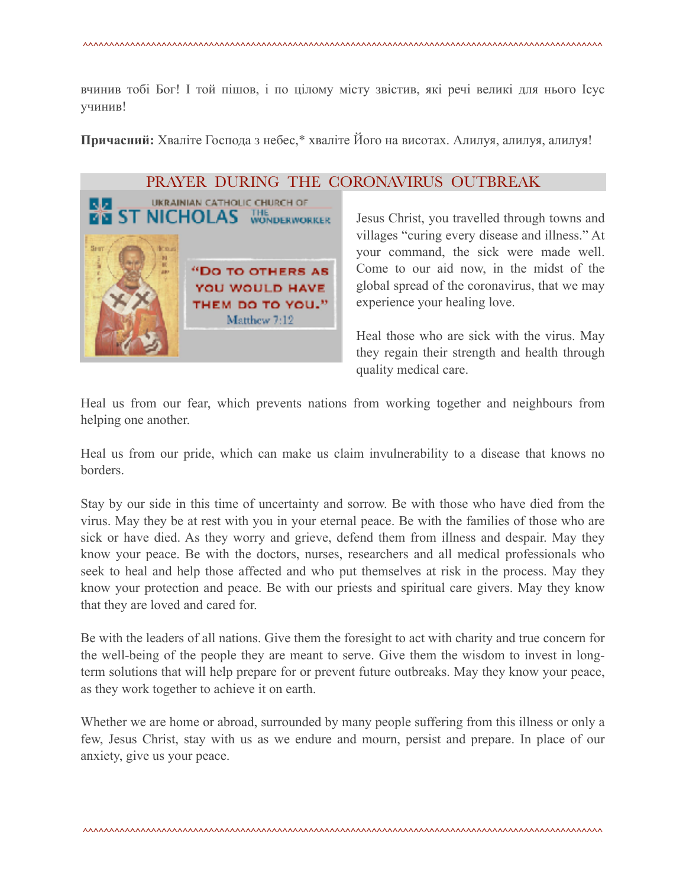вчинив тобі Бог! І той пішов, і по цілому місту звістив, які речі великі для нього Ісус учинив!

**Причасний:** Хваліте Господа з небес,\* хваліте Його на висотах. Алилуя, алилуя, алилуя!



### PRAYER DURING THE CORONAVIRUS OUTBREAK

Jesus Christ, you travelled through towns and villages "curing every disease and illness." At your command, the sick were made well. Come to our aid now, in the midst of the global spread of the coronavirus, that we may experience your healing love.

Heal those who are sick with the virus. May they regain their strength and health through quality medical care.

Heal us from our fear, which prevents nations from working together and neighbours from helping one another.

Heal us from our pride, which can make us claim invulnerability to a disease that knows no borders.

Stay by our side in this time of uncertainty and sorrow. Be with those who have died from the virus. May they be at rest with you in your eternal peace. Be with the families of those who are sick or have died. As they worry and grieve, defend them from illness and despair. May they know your peace. Be with the doctors, nurses, researchers and all medical professionals who seek to heal and help those affected and who put themselves at risk in the process. May they know your protection and peace. Be with our priests and spiritual care givers. May they know that they are loved and cared for.

Be with the leaders of all nations. Give them the foresight to act with charity and true concern for the well-being of the people they are meant to serve. Give them the wisdom to invest in longterm solutions that will help prepare for or prevent future outbreaks. May they know your peace, as they work together to achieve it on earth.

Whether we are home or abroad, surrounded by many people suffering from this illness or only a few, Jesus Christ, stay with us as we endure and mourn, persist and prepare. In place of our anxiety, give us your peace.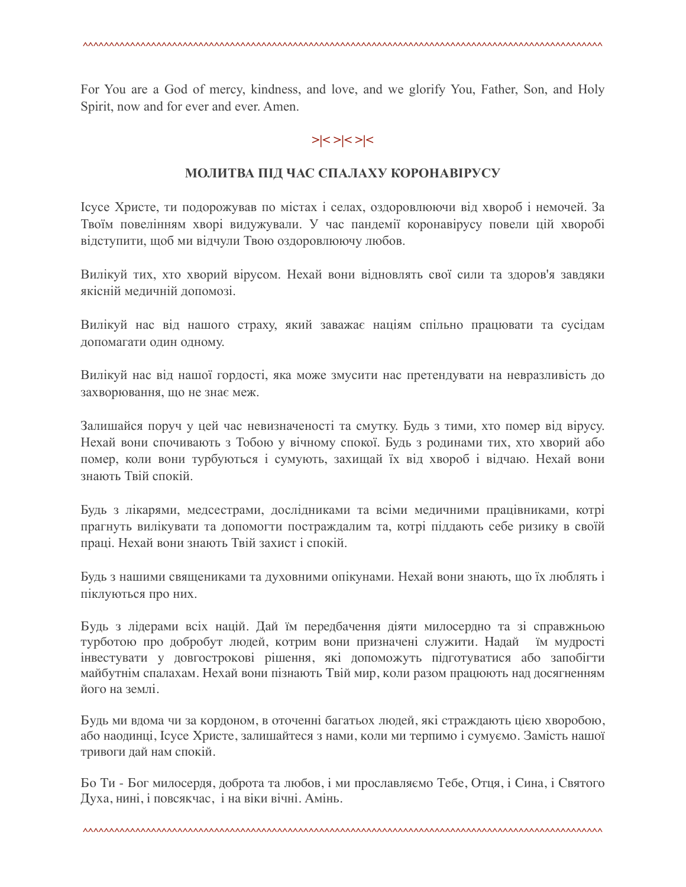For You are a God of mercy, kindness, and love, and we glorify You, Father, Son, and Holy Spirit, now and for ever and ever. Amen.

# **>|< >|< >|<**

### **МОЛИТВА ПІД ЧАС СПАЛАХУ КОРОНАВІРУСУ**

Ісусе Христе, ти подорожував по містах і селах, оздоровлюючи від хвороб і немочей. За Твоїм повелінням хворі видужували. У час пандемії коронавірусу повели цій хворобі відступити, щоб ми відчули Твою оздоровлюючу любов.

Вилікуй тих, хто хворий вірусом. Нехай вони відновлять свої сили та здоров'я завдяки якісній медичній допомозі.

Вилікуй нас від нашого страху, який заважає націям спільно працювати та сусідам допомагати один одному.

Вилікуй нас від нашої гордості, яка може змусити нас претендувати на невразливість до захворювання, що не знає меж.

Залишайся поруч у цей час невизначеності та смутку. Будь з тими, хто помер від вірусу. Нехай вони спочивають з Тобою у вічному спокої. Будь з родинами тих, хто хворий або помер, коли вони турбуються і сумують, захищай їх від хвороб і відчаю. Нехай вони знають Твій спокій.

Будь з лікарями, медсестрами, дослідниками та всіми медичними працівниками, котрі прагнуть вилікувати та допомогти постраждалим та, котрі піддають себе ризику в своїй праці. Нехай вони знають Твій захист і спокій.

Будь з нашими священиками та духовними опікунами. Нехай вони знають, що їх люблять і піклуються про них.

Будь з лідерами всіх націй. Дай їм передбачення діяти милосердно та зі справжньою турботою про добробут людей, котрим вони призначені служити. Надай їм мудрості інвестувати у довгострокові рішення, які допоможуть підготуватися або запобігти майбутнім спалахам. Нехай вони пізнають Твій мир, коли разом працюють над досягненням його на землі.

Будь ми вдома чи за кордоном, в оточенні багатьох людей, які страждають цією хворобою, або наодинці, Ісусе Христе, залишайтеся з нами, коли ми терпимо і сумуємо. Замість нашої тривоги дай нам спокій.

Бо Ти - Бог милосердя, доброта та любов, і ми прославляємо Тебе, Отця, і Сина, і Святого Духа, нині, і повсякчас, і на віки вічні. Амінь.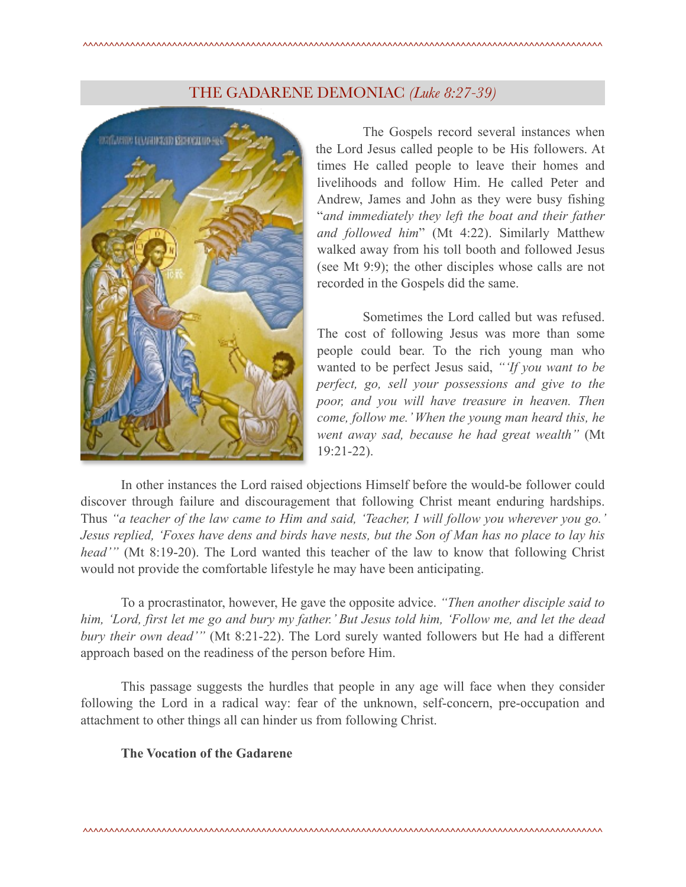# THE GADARENE DEMONIAC *(Luke 8:27-39)*



 The Gospels record several instances when the Lord Jesus called people to be His followers. At times He called people to leave their homes and livelihoods and follow Him. He called Peter and Andrew, James and John as they were busy fishing "*and immediately they left the boat and their father and followed him*" (Mt 4:22). Similarly Matthew walked away from his toll booth and followed Jesus (see Mt 9:9); the other disciples whose calls are not recorded in the Gospels did the same.

 Sometimes the Lord called but was refused. The cost of following Jesus was more than some people could bear. To the rich young man who wanted to be perfect Jesus said, *"'If you want to be perfect, go, sell your possessions and give to the poor, and you will have treasure in heaven. Then come, follow me.' When the young man heard this, he went away sad, because he had great wealth"* (Mt 19:21-22).

 In other instances the Lord raised objections Himself before the would-be follower could discover through failure and discouragement that following Christ meant enduring hardships. Thus *"a teacher of the law came to Him and said, 'Teacher, I will follow you wherever you go.' Jesus replied, 'Foxes have dens and birds have nests, but the Son of Man has no place to lay his head'"* (Mt 8:19-20). The Lord wanted this teacher of the law to know that following Christ would not provide the comfortable lifestyle he may have been anticipating.

 To a procrastinator, however, He gave the opposite advice. *"Then another disciple said to him, 'Lord, first let me go and bury my father.' But Jesus told him, 'Follow me, and let the dead bury their own dead'"* (Mt 8:21-22). The Lord surely wanted followers but He had a different approach based on the readiness of the person before Him.

 This passage suggests the hurdles that people in any age will face when they consider following the Lord in a radical way: fear of the unknown, self-concern, pre-occupation and attachment to other things all can hinder us from following Christ.

## **The Vocation of the Gadarene**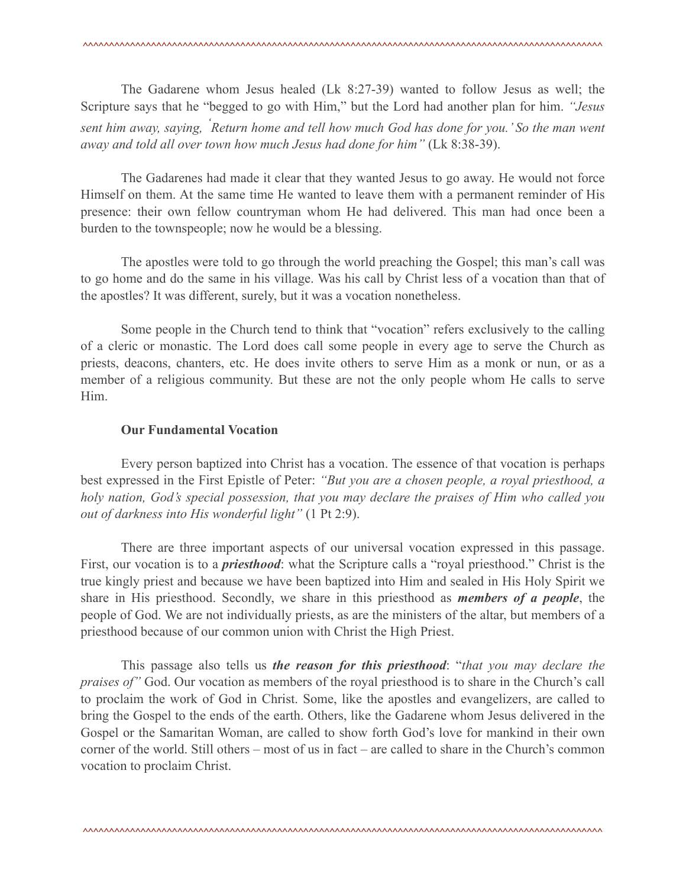The Gadarene whom Jesus healed (Lk 8:27-39) wanted to follow Jesus as well; the Scripture says that he "begged to go with Him," but the Lord had another plan for him. *"Jesus sent him away, saying, ' Return home and tell how much God has done for you.' So the man went away and told all over town how much Jesus had done for him"* (Lk 8:38-39).

 The Gadarenes had made it clear that they wanted Jesus to go away. He would not force Himself on them. At the same time He wanted to leave them with a permanent reminder of His presence: their own fellow countryman whom He had delivered. This man had once been a burden to the townspeople; now he would be a blessing.

 The apostles were told to go through the world preaching the Gospel; this man's call was to go home and do the same in his village. Was his call by Christ less of a vocation than that of the apostles? It was different, surely, but it was a vocation nonetheless.

 Some people in the Church tend to think that "vocation" refers exclusively to the calling of a cleric or monastic. The Lord does call some people in every age to serve the Church as priests, deacons, chanters, etc. He does invite others to serve Him as a monk or nun, or as a member of a religious community. But these are not the only people whom He calls to serve Him.

#### **Our Fundamental Vocation**

 Every person baptized into Christ has a vocation. The essence of that vocation is perhaps best expressed in the First Epistle of Peter: *"But you are a chosen people, a royal priesthood, a holy nation, God's special possession, that you may declare the praises of Him who called you out of darkness into His wonderful light"* (1 Pt 2:9).

 There are three important aspects of our universal vocation expressed in this passage. First, our vocation is to a *priesthood*: what the Scripture calls a "royal priesthood." Christ is the true kingly priest and because we have been baptized into Him and sealed in His Holy Spirit we share in His priesthood. Secondly, we share in this priesthood as *members of a people*, the people of God. We are not individually priests, as are the ministers of the altar, but members of a priesthood because of our common union with Christ the High Priest.

 This passage also tells us *the reason for this priesthood*: "*that you may declare the praises of"* God. Our vocation as members of the royal priesthood is to share in the Church's call to proclaim the work of God in Christ. Some, like the apostles and evangelizers, are called to bring the Gospel to the ends of the earth. Others, like the Gadarene whom Jesus delivered in the Gospel or the Samaritan Woman, are called to show forth God's love for mankind in their own corner of the world. Still others – most of us in fact – are called to share in the Church's common vocation to proclaim Christ.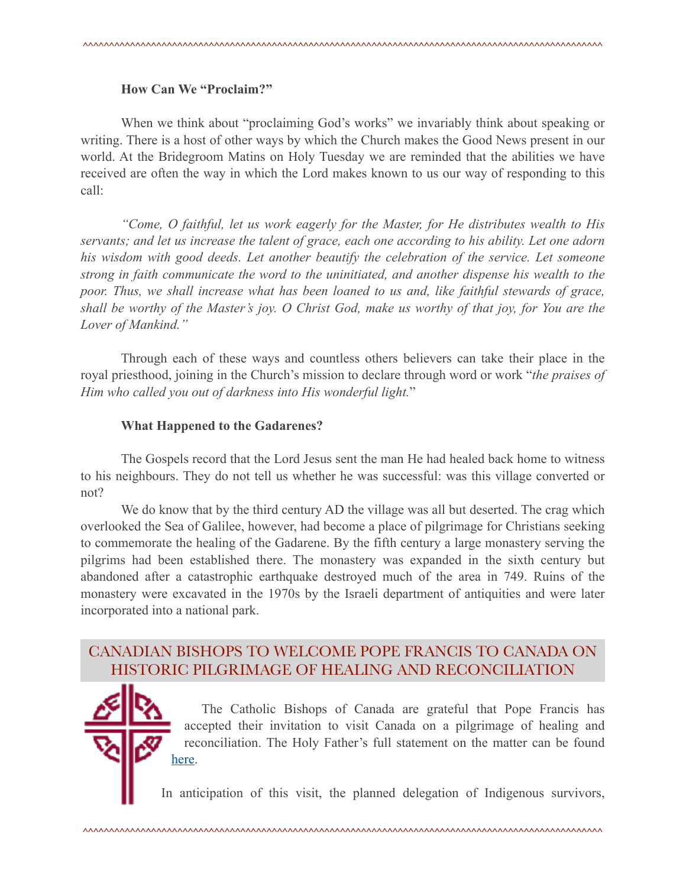#### **How Can We "Proclaim?"**

 When we think about "proclaiming God's works" we invariably think about speaking or writing. There is a host of other ways by which the Church makes the Good News present in our world. At the Bridegroom Matins on Holy Tuesday we are reminded that the abilities we have received are often the way in which the Lord makes known to us our way of responding to this call:

 *"Come, O faithful, let us work eagerly for the Master, for He distributes wealth to His servants; and let us increase the talent of grace, each one according to his ability. Let one adorn his wisdom with good deeds. Let another beautify the celebration of the service. Let someone strong in faith communicate the word to the uninitiated, and another dispense his wealth to the*  poor. Thus, we shall increase what has been loaned to us and, like faithful stewards of grace, *shall be worthy of the Master's joy. O Christ God, make us worthy of that joy, for You are the Lover of Mankind."*

 Through each of these ways and countless others believers can take their place in the royal priesthood, joining in the Church's mission to declare through word or work "*the praises of Him who called you out of darkness into His wonderful light.*"

#### **What Happened to the Gadarenes?**

 The Gospels record that the Lord Jesus sent the man He had healed back home to witness to his neighbours. They do not tell us whether he was successful: was this village converted or not?

 We do know that by the third century AD the village was all but deserted. The crag which overlooked the Sea of Galilee, however, had become a place of pilgrimage for Christians seeking to commemorate the healing of the Gadarene. By the fifth century a large monastery serving the pilgrims had been established there. The monastery was expanded in the sixth century but abandoned after a catastrophic earthquake destroyed much of the area in 749. Ruins of the monastery were excavated in the 1970s by the Israeli department of antiquities and were later incorporated into a national park.

# CANADIAN BISHOPS TO WELCOME POPE FRANCIS TO CANADA ON HISTORIC PILGRIMAGE OF HEALING AND RECONCILIATION

 The Catholic Bishops of Canada are grateful that Pope Francis has accepted their invitation to visit Canada on a pilgrimage of healing and reconciliation. The Holy Father's full statement on the matter can be found [here.](https://press.vatican.va/content/salastampa/it/bollettino/pubblico/2021/10/27/0699/01486.html)

In anticipation of this visit, the planned delegation of Indigenous survivors,